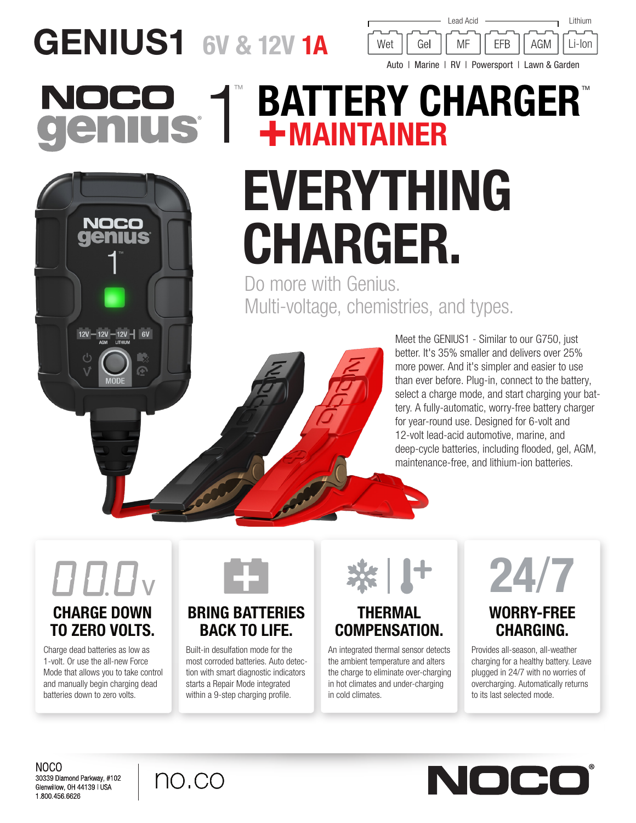# GENIUS1 6V & 12V 1A



## **BATTERY CHARGER®** NOC +MAINTAINER EVERYTHING NOCO CHARGER.

Do more with Genius. Multi-voltage, chemistries, and types.



Meet the GENIUS1 - Similar to our G750, just better. It's 35% smaller and delivers over 25% more power. And it's simpler and easier to use than ever before. Plug-in, connect to the battery, select a charge mode, and start charging your battery. A fully-automatic, worry-free battery charger for year-round use. Designed for 6-volt and 12-volt lead-acid automotive, marine, and deep-cycle batteries, including flooded, gel, AGM, maintenance-free, and lithium-ion batteries.

## CHARGE DOWN V

 $12V - 12V - 6V$ 

# TO ZERO VOLTS.

Charge dead batteries as low as 1-volt. Or use the all-new Force Mode that allows you to take control and manually begin charging dead batteries down to zero volts.



### BRING BATTERIES BACK TO LIFE.

Built-in desulfation mode for the most corroded batteries. Auto detection with smart diagnostic indicators starts a Repair Mode integrated within a 9-step charging profile.



### THERMAL COMPENSATION.

An integrated thermal sensor detects the ambient temperature and alters the charge to eliminate over-charging in hot climates and under-charging in cold climates.



## WORRY-FREE CHARGING.

Provides all-season, all-weather charging for a healthy battery. Leave plugged in 24/7 with no worries of overcharging. Automatically returns to its last selected mode.

NOCO 30339 Diamond Parkway, #102 Glenwillow, OH 44139 | USA 1.800.456.6626



NOCC